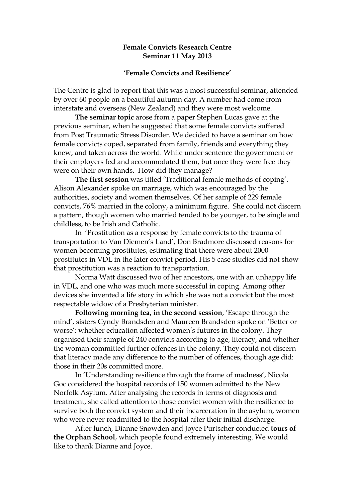## **Female Convicts Research Centre Seminar 11 May 2013**

## **'Female Convicts and Resilience'**

The Centre is glad to report that this was a most successful seminar, attended by over 60 people on a beautiful autumn day. A number had come from interstate and overseas (New Zealand) and they were most welcome.

**The seminar topic** arose from a paper Stephen Lucas gave at the previous seminar, when he suggested that some female convicts suffered from Post Traumatic Stress Disorder. We decided to have a seminar on how female convicts coped, separated from family, friends and everything they knew, and taken across the world. While under sentence the government or their employers fed and accommodated them, but once they were free they were on their own hands. How did they manage?

**The first session** was titled 'Traditional female methods of coping'. Alison Alexander spoke on marriage, which was encouraged by the authorities, society and women themselves. Of her sample of 229 female convicts, 76% married in the colony, a minimum figure. She could not discern a pattern, though women who married tended to be younger, to be single and childless, to be Irish and Catholic.

 In 'Prostitution as a response by female convicts to the trauma of transportation to Van Diemen's Land', Don Bradmore discussed reasons for women becoming prostitutes, estimating that there were about 2000 prostitutes in VDL in the later convict period. His 5 case studies did not show that prostitution was a reaction to transportation.

Norma Watt discussed two of her ancestors, one with an unhappy life in VDL, and one who was much more successful in coping. Among other devices she invented a life story in which she was not a convict but the most respectable widow of a Presbyterian minister.

**Following morning tea, in the second session**, 'Escape through the mind', sisters Cyndy Brandsden and Maureen Brandsden spoke on 'Better or worse': whether education affected women's futures in the colony. They organised their sample of 240 convicts according to age, literacy, and whether the woman committed further offences in the colony. They could not discern that literacy made any difference to the number of offences, though age did: those in their 20s committed more.

In 'Understanding resilience through the frame of madness', Nicola Goc considered the hospital records of 150 women admitted to the New Norfolk Asylum. After analysing the records in terms of diagnosis and treatment, she called attention to those convict women with the resilience to survive both the convict system and their incarceration in the asylum, women who were never readmitted to the hospital after their initial discharge.

After lunch, Dianne Snowden and Joyce Purtscher conducted **tours of the Orphan School**, which people found extremely interesting. We would like to thank Dianne and Joyce.